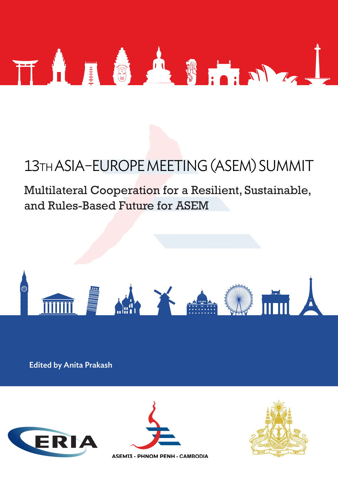

## 13TH ASIA–EUROPE MEETING (ASEM) SUMMIT

## Multilateral Cooperation for a Resilient, Sustainable, and Rules-Based Future for ASEM



Edited by Anita Prakash